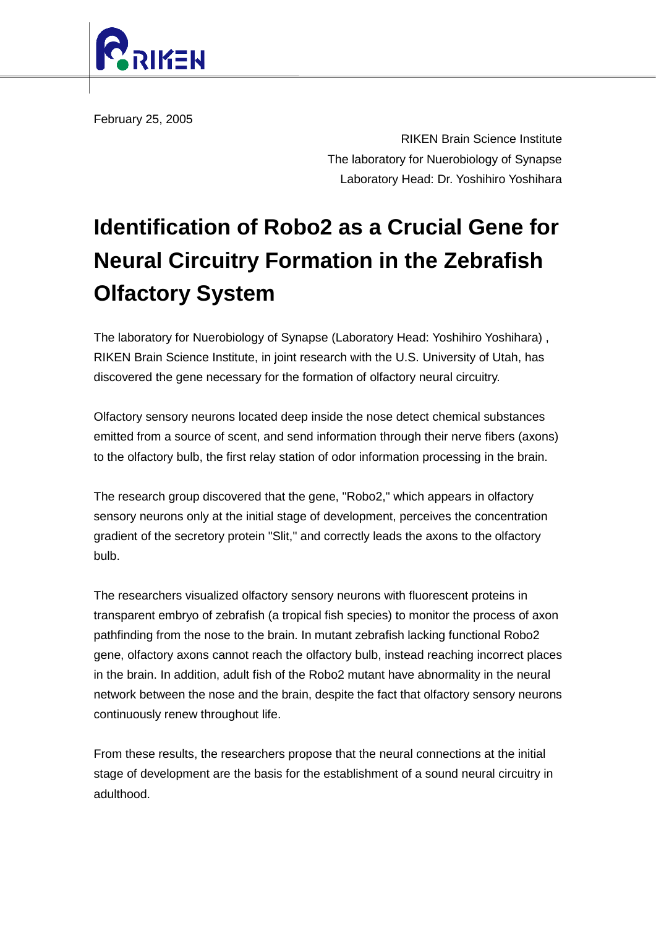

February 25, 2005

RIKEN Brain Science Institute The laboratory for Nuerobiology of Synapse Laboratory Head: Dr. Yoshihiro Yoshihara

## **Identification of Robo2 as a Crucial Gene for Neural Circuitry Formation in the Zebrafish Olfactory System**

The laboratory for Nuerobiology of Synapse (Laboratory Head: Yoshihiro Yoshihara) , RIKEN Brain Science Institute, in joint research with the U.S. University of Utah, has discovered the gene necessary for the formation of olfactory neural circuitry.

Olfactory sensory neurons located deep inside the nose detect chemical substances emitted from a source of scent, and send information through their nerve fibers (axons) to the olfactory bulb, the first relay station of odor information processing in the brain.

The research group discovered that the gene, "Robo2," which appears in olfactory sensory neurons only at the initial stage of development, perceives the concentration gradient of the secretory protein "Slit," and correctly leads the axons to the olfactory bulb.

The researchers visualized olfactory sensory neurons with fluorescent proteins in transparent embryo of zebrafish (a tropical fish species) to monitor the process of axon pathfinding from the nose to the brain. In mutant zebrafish lacking functional Robo2 gene, olfactory axons cannot reach the olfactory bulb, instead reaching incorrect places in the brain. In addition, adult fish of the Robo2 mutant have abnormality in the neural network between the nose and the brain, despite the fact that olfactory sensory neurons continuously renew throughout life.

From these results, the researchers propose that the neural connections at the initial stage of development are the basis for the establishment of a sound neural circuitry in adulthood.